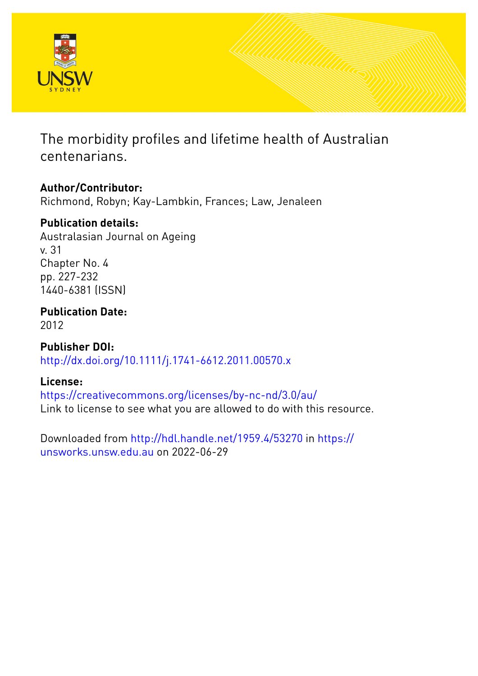

The morbidity profiles and lifetime health of Australian centenarians.

# **Author/Contributor:**

Richmond, Robyn; Kay-Lambkin, Frances; Law, Jenaleen

# **Publication details:**

Australasian Journal on Ageing v. 31 Chapter No. 4 pp. 227-232 1440-6381 (ISSN)

**Publication Date:** 2012

**Publisher DOI:** [http://dx.doi.org/10.1111/j.1741-6612.2011.00570.x](http://dx.doi.org/http://dx.doi.org/10.1111/j.1741-6612.2011.00570.x)

## **License:**

<https://creativecommons.org/licenses/by-nc-nd/3.0/au/> Link to license to see what you are allowed to do with this resource.

Downloaded from <http://hdl.handle.net/1959.4/53270> in [https://](https://unsworks.unsw.edu.au) [unsworks.unsw.edu.au](https://unsworks.unsw.edu.au) on 2022-06-29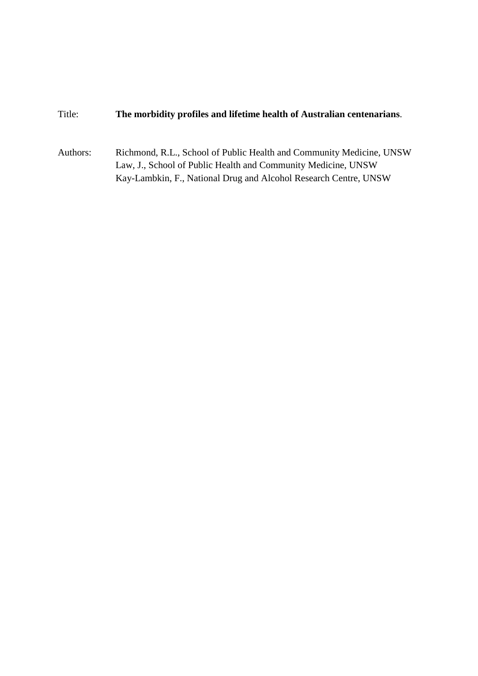## Title: **The morbidity profiles and lifetime health of Australian centenarians**.

Authors: Richmond, R.L., School of Public Health and Community Medicine, UNSW Law, J., School of Public Health and Community Medicine, UNSW Kay-Lambkin, F., National Drug and Alcohol Research Centre, UNSW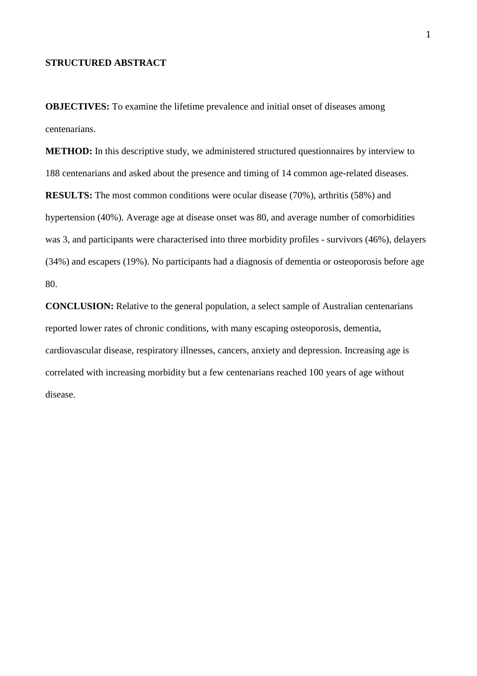## **STRUCTURED ABSTRACT**

**OBJECTIVES:** To examine the lifetime prevalence and initial onset of diseases among centenarians.

**METHOD:** In this descriptive study, we administered structured questionnaires by interview to 188 centenarians and asked about the presence and timing of 14 common age-related diseases. **RESULTS:** The most common conditions were ocular disease (70%), arthritis (58%) and hypertension (40%). Average age at disease onset was 80, and average number of comorbidities was 3, and participants were characterised into three morbidity profiles - survivors (46%), delayers (34%) and escapers (19%). No participants had a diagnosis of dementia or osteoporosis before age 80.

**CONCLUSION:** Relative to the general population, a select sample of Australian centenarians reported lower rates of chronic conditions, with many escaping osteoporosis, dementia, cardiovascular disease, respiratory illnesses, cancers, anxiety and depression. Increasing age is correlated with increasing morbidity but a few centenarians reached 100 years of age without disease.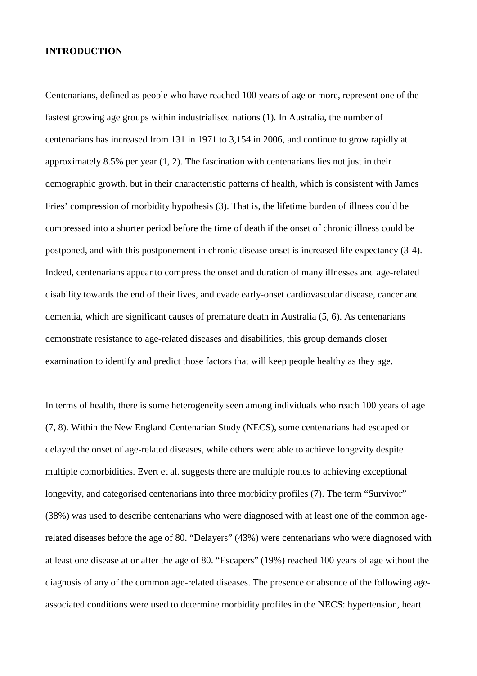### **INTRODUCTION**

Centenarians, defined as people who have reached 100 years of age or more, represent one of the fastest growing age groups within industrialised nations (1). In Australia, the number of centenarians has increased from 131 in 1971 to 3,154 in 2006, and continue to grow rapidly at approximately 8.5% per year (1, 2). The fascination with centenarians lies not just in their demographic growth, but in their characteristic patterns of health, which is consistent with James Fries' compression of morbidity hypothesis (3). That is, the lifetime burden of illness could be compressed into a shorter period before the time of death if the onset of chronic illness could be postponed, and with this postponement in chronic disease onset is increased life expectancy (3-4). Indeed, centenarians appear to compress the onset and duration of many illnesses and age-related disability towards the end of their lives, and evade early-onset cardiovascular disease, cancer and dementia, which are significant causes of premature death in Australia (5, 6). As centenarians demonstrate resistance to age-related diseases and disabilities, this group demands closer examination to identify and predict those factors that will keep people healthy as they age.

In terms of health, there is some heterogeneity seen among individuals who reach 100 years of age (7, 8). Within the New England Centenarian Study (NECS), some centenarians had escaped or delayed the onset of age-related diseases, while others were able to achieve longevity despite multiple comorbidities. Evert et al. suggests there are multiple routes to achieving exceptional longevity, and categorised centenarians into three morbidity profiles (7). The term "Survivor" (38%) was used to describe centenarians who were diagnosed with at least one of the common agerelated diseases before the age of 80. "Delayers" (43%) were centenarians who were diagnosed with at least one disease at or after the age of 80. "Escapers" (19%) reached 100 years of age without the diagnosis of any of the common age-related diseases. The presence or absence of the following ageassociated conditions were used to determine morbidity profiles in the NECS: hypertension, heart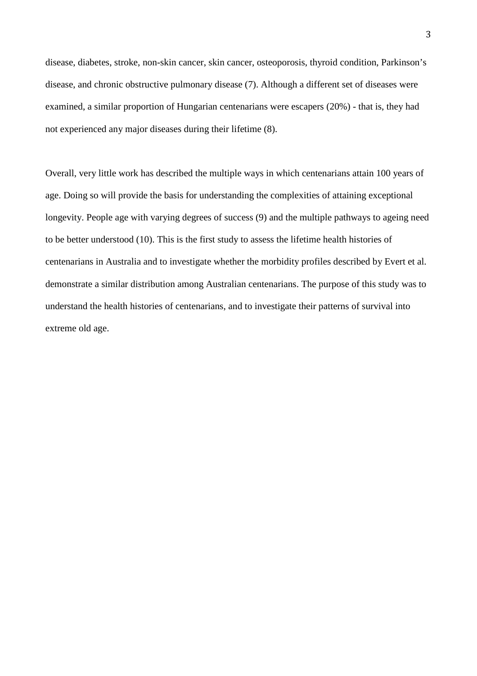disease, diabetes, stroke, non-skin cancer, skin cancer, osteoporosis, thyroid condition, Parkinson's disease, and chronic obstructive pulmonary disease (7). Although a different set of diseases were examined, a similar proportion of Hungarian centenarians were escapers (20%) - that is, they had not experienced any major diseases during their lifetime (8).

Overall, very little work has described the multiple ways in which centenarians attain 100 years of age. Doing so will provide the basis for understanding the complexities of attaining exceptional longevity. People age with varying degrees of success (9) and the multiple pathways to ageing need to be better understood (10). This is the first study to assess the lifetime health histories of centenarians in Australia and to investigate whether the morbidity profiles described by Evert et al. demonstrate a similar distribution among Australian centenarians. The purpose of this study was to understand the health histories of centenarians, and to investigate their patterns of survival into extreme old age.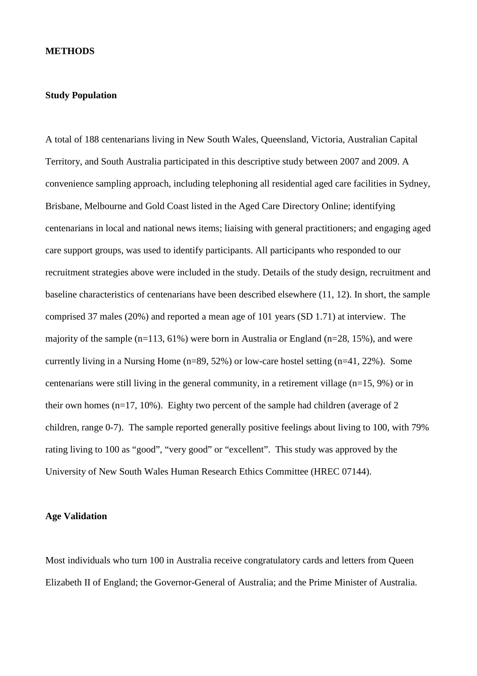#### **METHODS**

#### **Study Population**

A total of 188 centenarians living in New South Wales, Queensland, Victoria, Australian Capital Territory, and South Australia participated in this descriptive study between 2007 and 2009. A convenience sampling approach, including telephoning all residential aged care facilities in Sydney, Brisbane, Melbourne and Gold Coast listed in the Aged Care Directory Online; identifying centenarians in local and national news items; liaising with general practitioners; and engaging aged care support groups, was used to identify participants. All participants who responded to our recruitment strategies above were included in the study. Details of the study design, recruitment and baseline characteristics of centenarians have been described elsewhere (11, 12). In short, the sample comprised 37 males (20%) and reported a mean age of 101 years (SD 1.71) at interview. The majority of the sample (n=113, 61%) were born in Australia or England (n=28, 15%), and were currently living in a Nursing Home (n=89, 52%) or low-care hostel setting (n=41, 22%). Some centenarians were still living in the general community, in a retirement village (n=15, 9%) or in their own homes (n=17, 10%). Eighty two percent of the sample had children (average of 2 children, range 0-7). The sample reported generally positive feelings about living to 100, with 79% rating living to 100 as "good", "very good" or "excellent". This study was approved by the University of New South Wales Human Research Ethics Committee (HREC 07144).

## **Age Validation**

Most individuals who turn 100 in Australia receive congratulatory cards and letters from Queen Elizabeth II of England; the Governor-General of Australia; and the Prime Minister of Australia.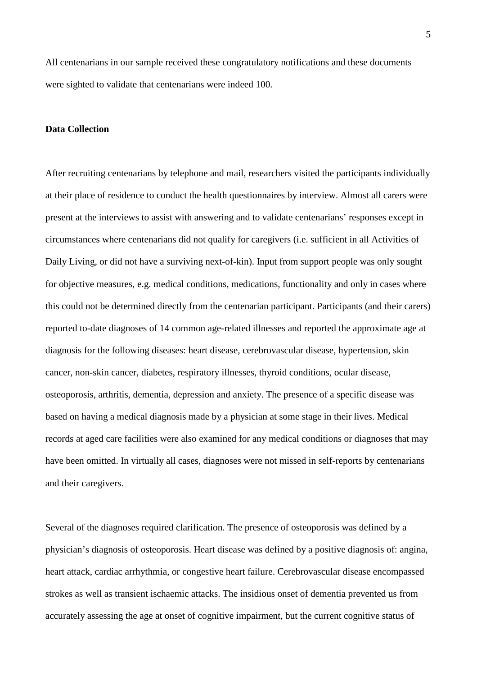All centenarians in our sample received these congratulatory notifications and these documents were sighted to validate that centenarians were indeed 100.

### **Data Collection**

After recruiting centenarians by telephone and mail, researchers visited the participants individually at their place of residence to conduct the health questionnaires by interview. Almost all carers were present at the interviews to assist with answering and to validate centenarians' responses except in circumstances where centenarians did not qualify for caregivers (i.e. sufficient in all Activities of Daily Living, or did not have a surviving next-of-kin). Input from support people was only sought for objective measures, e.g. medical conditions, medications, functionality and only in cases where this could not be determined directly from the centenarian participant. Participants (and their carers) reported to-date diagnoses of 14 common age-related illnesses and reported the approximate age at diagnosis for the following diseases: heart disease, cerebrovascular disease, hypertension, skin cancer, non-skin cancer, diabetes, respiratory illnesses, thyroid conditions, ocular disease, osteoporosis, arthritis, dementia, depression and anxiety. The presence of a specific disease was based on having a medical diagnosis made by a physician at some stage in their lives. Medical records at aged care facilities were also examined for any medical conditions or diagnoses that may have been omitted. In virtually all cases, diagnoses were not missed in self-reports by centenarians and their caregivers.

Several of the diagnoses required clarification. The presence of osteoporosis was defined by a physician's diagnosis of osteoporosis. Heart disease was defined by a positive diagnosis of: angina, heart attack, cardiac arrhythmia, or congestive heart failure. Cerebrovascular disease encompassed strokes as well as transient ischaemic attacks. The insidious onset of dementia prevented us from accurately assessing the age at onset of cognitive impairment, but the current cognitive status of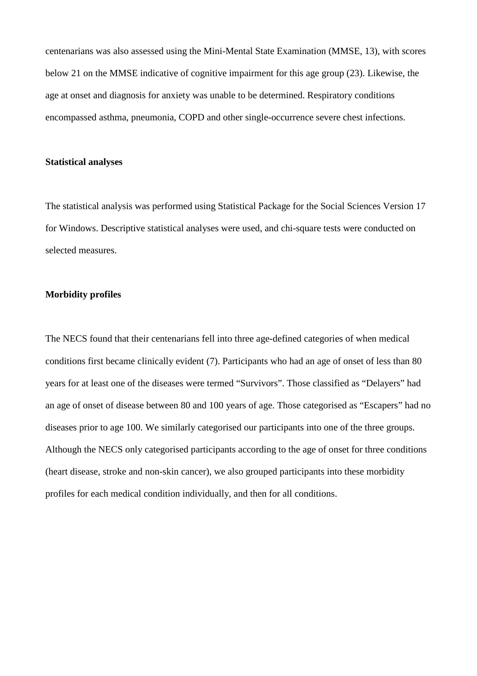centenarians was also assessed using the Mini-Mental State Examination (MMSE, 13), with scores below 21 on the MMSE indicative of cognitive impairment for this age group (23). Likewise, the age at onset and diagnosis for anxiety was unable to be determined. Respiratory conditions encompassed asthma, pneumonia, COPD and other single-occurrence severe chest infections.

#### **Statistical analyses**

The statistical analysis was performed using Statistical Package for the Social Sciences Version 17 for Windows. Descriptive statistical analyses were used, and chi-square tests were conducted on selected measures.

### **Morbidity profiles**

The NECS found that their centenarians fell into three age-defined categories of when medical conditions first became clinically evident (7). Participants who had an age of onset of less than 80 years for at least one of the diseases were termed "Survivors". Those classified as "Delayers" had an age of onset of disease between 80 and 100 years of age. Those categorised as "Escapers" had no diseases prior to age 100. We similarly categorised our participants into one of the three groups. Although the NECS only categorised participants according to the age of onset for three conditions (heart disease, stroke and non-skin cancer), we also grouped participants into these morbidity profiles for each medical condition individually, and then for all conditions.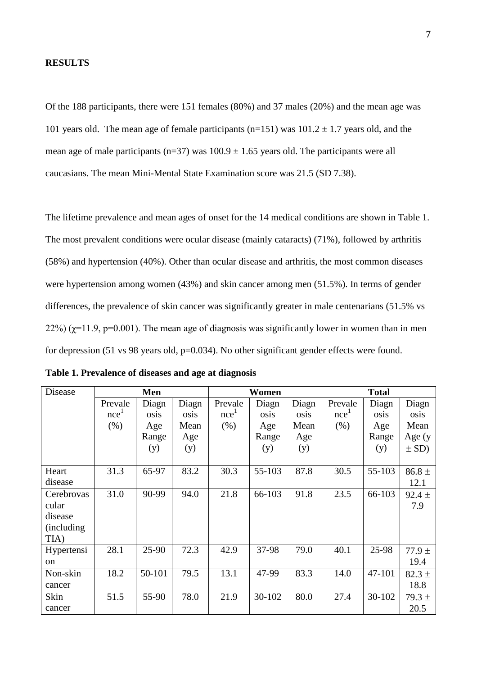#### **RESULTS**

Of the 188 participants, there were 151 females (80%) and 37 males (20%) and the mean age was 101 years old. The mean age of female participants (n=151) was  $101.2 \pm 1.7$  years old, and the mean age of male participants (n=37) was  $100.9 \pm 1.65$  years old. The participants were all caucasians. The mean Mini-Mental State Examination score was 21.5 (SD 7.38).

The lifetime prevalence and mean ages of onset for the 14 medical conditions are shown in Table 1. The most prevalent conditions were ocular disease (mainly cataracts) (71%), followed by arthritis (58%) and hypertension (40%). Other than ocular disease and arthritis, the most common diseases were hypertension among women (43%) and skin cancer among men (51.5%). In terms of gender differences, the prevalence of skin cancer was significantly greater in male centenarians (51.5% vs 22%) ( $\chi$ =11.9, p=0.001). The mean age of diagnosis was significantly lower in women than in men for depression (51 vs 98 years old, p=0.034). No other significant gender effects were found.

| Disease     | Men              |        |       |                  | Women  |       | <b>Total</b>     |        |            |
|-------------|------------------|--------|-------|------------------|--------|-------|------------------|--------|------------|
|             | Prevale          | Diagn  | Diagn | Prevale          | Diagn  | Diagn | Prevale          | Diagn  | Diagn      |
|             | nce <sup>1</sup> | osis   | osis  | nce <sup>1</sup> | osis   | osis  | nce <sup>1</sup> | osis   | osis       |
|             | $(\% )$          | Age    | Mean  | (% )             | Age    | Mean  | (% )             | Age    | Mean       |
|             |                  | Range  | Age   |                  | Range  | Age   |                  | Range  | Age $(y)$  |
|             |                  | (y)    | (y)   |                  | (y)    | (y)   |                  | (y)    | $\pm$ SD)  |
|             |                  |        |       |                  |        |       |                  |        |            |
| Heart       | 31.3             | 65-97  | 83.2  | 30.3             | 55-103 | 87.8  | 30.5             | 55-103 | $86.8 \pm$ |
| disease     |                  |        |       |                  |        |       |                  |        | 12.1       |
| Cerebrovas  | 31.0             | 90-99  | 94.0  | 21.8             | 66-103 | 91.8  | 23.5             | 66-103 | $92.4 \pm$ |
| cular       |                  |        |       |                  |        |       |                  |        | 7.9        |
| disease     |                  |        |       |                  |        |       |                  |        |            |
| (including) |                  |        |       |                  |        |       |                  |        |            |
| TIA)        |                  |        |       |                  |        |       |                  |        |            |
| Hypertensi  | 28.1             | 25-90  | 72.3  | 42.9             | 37-98  | 79.0  | 40.1             | 25-98  | $77.9 \pm$ |
| on          |                  |        |       |                  |        |       |                  |        | 19.4       |
| Non-skin    | 18.2             | 50-101 | 79.5  | 13.1             | 47-99  | 83.3  | 14.0             | 47-101 | $82.3 \pm$ |
| cancer      |                  |        |       |                  |        |       |                  |        | 18.8       |
| Skin        | 51.5             | 55-90  | 78.0  | 21.9             | 30-102 | 80.0  | 27.4             | 30-102 | $79.3 \pm$ |
| cancer      |                  |        |       |                  |        |       |                  |        | 20.5       |

|  |  |  | Table 1. Prevalence of diseases and age at diagnosis |  |  |
|--|--|--|------------------------------------------------------|--|--|
|  |  |  |                                                      |  |  |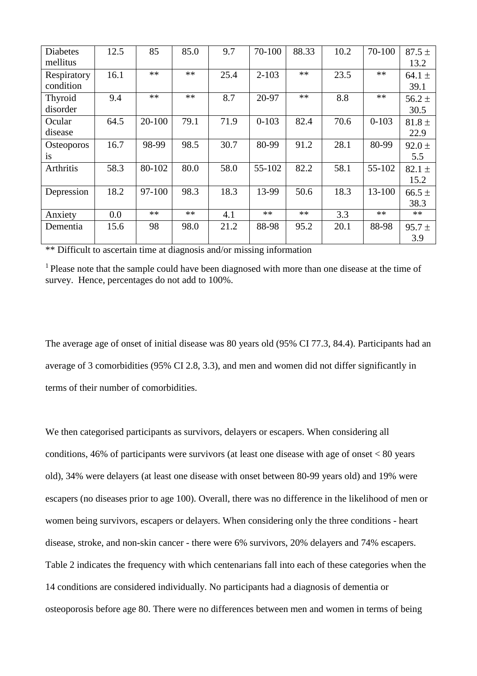| <b>Diabetes</b><br>mellitus    | 12.5 | 85     | 85.0 | 9.7  | 70-100    | 88.33 | 10.2 | 70-100    | $87.5 \pm$<br>13.2 |
|--------------------------------|------|--------|------|------|-----------|-------|------|-----------|--------------------|
| Respiratory<br>condition       | 16.1 | $**$   | $**$ | 25.4 | $2 - 103$ | $**$  | 23.5 | $**$      | 64.1 $\pm$<br>39.1 |
| Thyroid<br>disorder            | 9.4  | **     | $**$ | 8.7  | 20-97     | $**$  | 8.8  | **        | $56.2 \pm$<br>30.5 |
| Ocular<br>disease              | 64.5 | 20-100 | 79.1 | 71.9 | $0 - 103$ | 82.4  | 70.6 | $0 - 103$ | $81.8 \pm$<br>22.9 |
| <b>Osteoporos</b><br><i>is</i> | 16.7 | 98-99  | 98.5 | 30.7 | 80-99     | 91.2  | 28.1 | 80-99     | $92.0 \pm$<br>5.5  |
| Arthritis                      | 58.3 | 80-102 | 80.0 | 58.0 | 55-102    | 82.2  | 58.1 | 55-102    | $82.1 \pm$<br>15.2 |
| Depression                     | 18.2 | 97-100 | 98.3 | 18.3 | 13-99     | 50.6  | 18.3 | 13-100    | $66.5 \pm$<br>38.3 |
| Anxiety                        | 0.0  | $***$  | $**$ | 4.1  | $***$     | $**$  | 3.3  | **        | $**$               |
| Dementia                       | 15.6 | 98     | 98.0 | 21.2 | 88-98     | 95.2  | 20.1 | 88-98     | $95.7 \pm$<br>3.9  |

\*\* Difficult to ascertain time at diagnosis and/or missing information

<sup>1</sup> Please note that the sample could have been diagnosed with more than one disease at the time of survey. Hence, percentages do not add to 100%.

The average age of onset of initial disease was 80 years old (95% CI 77.3, 84.4). Participants had an average of 3 comorbidities (95% CI 2.8, 3.3), and men and women did not differ significantly in terms of their number of comorbidities.

We then categorised participants as survivors, delayers or escapers. When considering all conditions, 46% of participants were survivors (at least one disease with age of onset < 80 years old), 34% were delayers (at least one disease with onset between 80-99 years old) and 19% were escapers (no diseases prior to age 100). Overall, there was no difference in the likelihood of men or women being survivors, escapers or delayers. When considering only the three conditions - heart disease, stroke, and non-skin cancer - there were 6% survivors, 20% delayers and 74% escapers. Table 2 indicates the frequency with which centenarians fall into each of these categories when the 14 conditions are considered individually. No participants had a diagnosis of dementia or osteoporosis before age 80. There were no differences between men and women in terms of being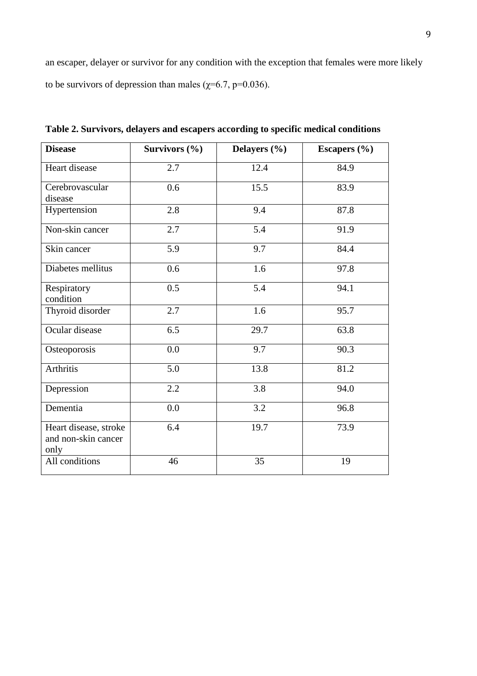an escaper, delayer or survivor for any condition with the exception that females were more likely to be survivors of depression than males ( $\chi$ =6.7, p=0.036).

| <b>Disease</b>                                       | Survivors $(\% )$ | Delayers (%)     | Escapers $(\% )$ |  |  |
|------------------------------------------------------|-------------------|------------------|------------------|--|--|
| Heart disease                                        | 2.7               | 12.4             | 84.9             |  |  |
| Cerebrovascular<br>disease                           | 0.6               | 15.5             | 83.9             |  |  |
| Hypertension                                         | 2.8               | 9.4              | 87.8             |  |  |
| Non-skin cancer                                      | 2.7               | 5.4              | 91.9             |  |  |
| Skin cancer                                          | 5.9               | 9.7              | 84.4             |  |  |
| Diabetes mellitus                                    | 0.6               | 1.6              | 97.8             |  |  |
| Respiratory<br>condition                             | 0.5               | 5.4              | 94.1             |  |  |
| Thyroid disorder                                     | 2.7               | 1.6              | 95.7             |  |  |
| Ocular disease                                       | 6.5               | 29.7             | 63.8             |  |  |
| Osteoporosis                                         | 0.0               | 9.7              | 90.3             |  |  |
| Arthritis                                            | 5.0               | 13.8             | 81.2             |  |  |
| Depression                                           | 2.2               | 3.8              | 94.0             |  |  |
| Dementia                                             | 0.0               | $\overline{3.2}$ | 96.8             |  |  |
| Heart disease, stroke<br>and non-skin cancer<br>only | 6.4               | 19.7             | 73.9             |  |  |
| All conditions                                       | 46                | 35               | 19               |  |  |

**Table 2. Survivors, delayers and escapers according to specific medical conditions**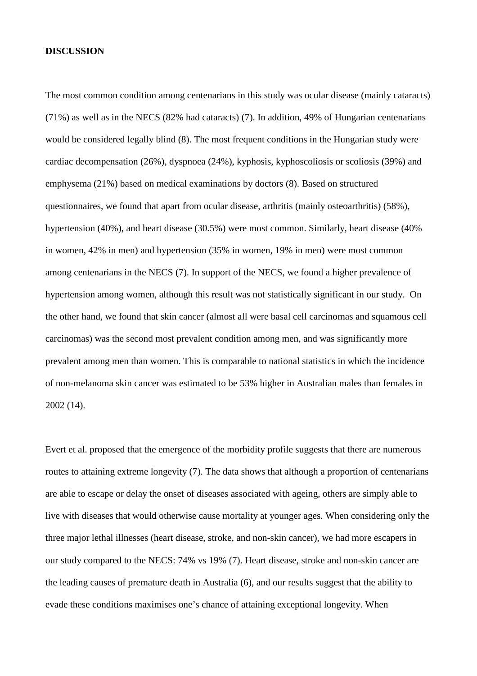#### **DISCUSSION**

The most common condition among centenarians in this study was ocular disease (mainly cataracts) (71%) as well as in the NECS (82% had cataracts) (7). In addition, 49% of Hungarian centenarians would be considered legally blind (8). The most frequent conditions in the Hungarian study were cardiac decompensation (26%), dyspnoea (24%), kyphosis, kyphoscoliosis or scoliosis (39%) and emphysema (21%) based on medical examinations by doctors (8). Based on structured questionnaires, we found that apart from ocular disease, arthritis (mainly osteoarthritis) (58%), hypertension (40%), and heart disease (30.5%) were most common. Similarly, heart disease (40% in women, 42% in men) and hypertension (35% in women, 19% in men) were most common among centenarians in the NECS (7). In support of the NECS, we found a higher prevalence of hypertension among women, although this result was not statistically significant in our study. On the other hand, we found that skin cancer (almost all were basal cell carcinomas and squamous cell carcinomas) was the second most prevalent condition among men, and was significantly more prevalent among men than women. This is comparable to national statistics in which the incidence of non-melanoma skin cancer was estimated to be 53% higher in Australian males than females in 2002 (14).

Evert et al. proposed that the emergence of the morbidity profile suggests that there are numerous routes to attaining extreme longevity (7). The data shows that although a proportion of centenarians are able to escape or delay the onset of diseases associated with ageing, others are simply able to live with diseases that would otherwise cause mortality at younger ages. When considering only the three major lethal illnesses (heart disease, stroke, and non-skin cancer), we had more escapers in our study compared to the NECS: 74% vs 19% (7). Heart disease, stroke and non-skin cancer are the leading causes of premature death in Australia (6), and our results suggest that the ability to evade these conditions maximises one's chance of attaining exceptional longevity. When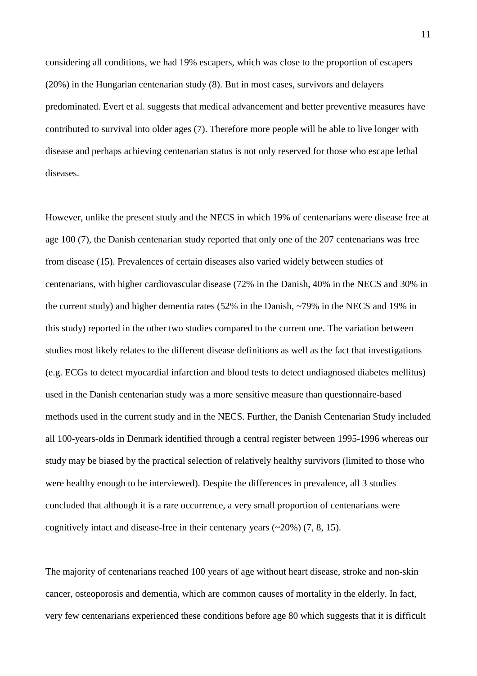considering all conditions, we had 19% escapers, which was close to the proportion of escapers (20%) in the Hungarian centenarian study (8). But in most cases, survivors and delayers predominated. Evert et al. suggests that medical advancement and better preventive measures have contributed to survival into older ages (7). Therefore more people will be able to live longer with disease and perhaps achieving centenarian status is not only reserved for those who escape lethal diseases.

However, unlike the present study and the NECS in which 19% of centenarians were disease free at age 100 (7), the Danish centenarian study reported that only one of the 207 centenarians was free from disease (15). Prevalences of certain diseases also varied widely between studies of centenarians, with higher cardiovascular disease (72% in the Danish, 40% in the NECS and 30% in the current study) and higher dementia rates (52% in the Danish, ~79% in the NECS and 19% in this study) reported in the other two studies compared to the current one. The variation between studies most likely relates to the different disease definitions as well as the fact that investigations (e.g. ECGs to detect myocardial infarction and blood tests to detect undiagnosed diabetes mellitus) used in the Danish centenarian study was a more sensitive measure than questionnaire-based methods used in the current study and in the NECS. Further, the Danish Centenarian Study included all 100-years-olds in Denmark identified through a central register between 1995-1996 whereas our study may be biased by the practical selection of relatively healthy survivors (limited to those who were healthy enough to be interviewed). Despite the differences in prevalence, all 3 studies concluded that although it is a rare occurrence, a very small proportion of centenarians were cognitively intact and disease-free in their centenary years (~20%) (7, 8, 15).

The majority of centenarians reached 100 years of age without heart disease, stroke and non-skin cancer, osteoporosis and dementia, which are common causes of mortality in the elderly. In fact, very few centenarians experienced these conditions before age 80 which suggests that it is difficult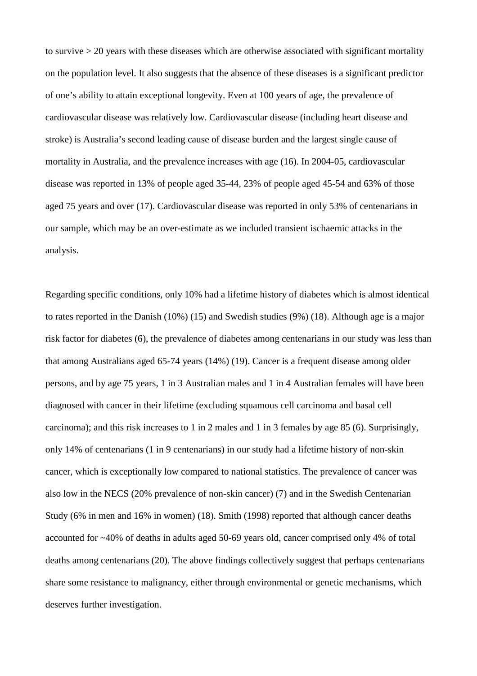to survive > 20 years with these diseases which are otherwise associated with significant mortality on the population level. It also suggests that the absence of these diseases is a significant predictor of one's ability to attain exceptional longevity. Even at 100 years of age, the prevalence of cardiovascular disease was relatively low. Cardiovascular disease (including heart disease and stroke) is Australia's second leading cause of disease burden and the largest single cause of mortality in Australia, and the prevalence increases with age (16). In 2004-05, cardiovascular disease was reported in 13% of people aged 35-44, 23% of people aged 45-54 and 63% of those aged 75 years and over (17). Cardiovascular disease was reported in only 53% of centenarians in our sample, which may be an over-estimate as we included transient ischaemic attacks in the analysis.

Regarding specific conditions, only 10% had a lifetime history of diabetes which is almost identical to rates reported in the Danish (10%) (15) and Swedish studies (9%) (18). Although age is a major risk factor for diabetes (6), the prevalence of diabetes among centenarians in our study was less than that among Australians aged 65-74 years (14%) (19). Cancer is a frequent disease among older persons, and by age 75 years, 1 in 3 Australian males and 1 in 4 Australian females will have been diagnosed with cancer in their lifetime (excluding squamous cell carcinoma and basal cell carcinoma); and this risk increases to 1 in 2 males and 1 in 3 females by age 85 (6). Surprisingly, only 14% of centenarians (1 in 9 centenarians) in our study had a lifetime history of non-skin cancer, which is exceptionally low compared to national statistics. The prevalence of cancer was also low in the NECS (20% prevalence of non-skin cancer) (7) and in the Swedish Centenarian Study (6% in men and 16% in women) (18). Smith (1998) reported that although cancer deaths accounted for ~40% of deaths in adults aged 50-69 years old, cancer comprised only 4% of total deaths among centenarians (20). The above findings collectively suggest that perhaps centenarians share some resistance to malignancy, either through environmental or genetic mechanisms, which deserves further investigation.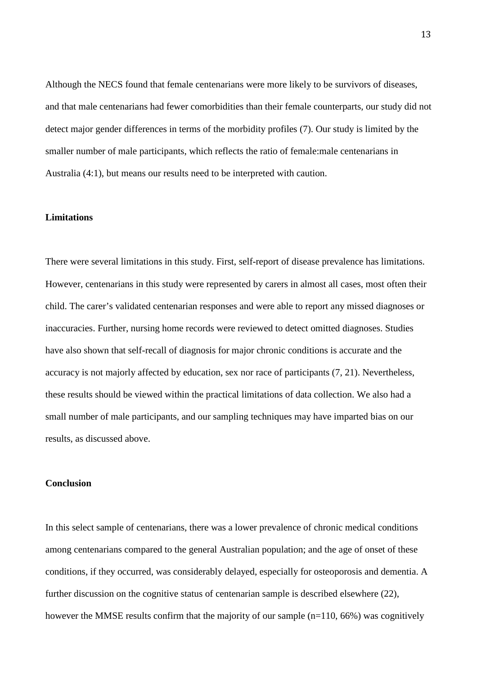Although the NECS found that female centenarians were more likely to be survivors of diseases, and that male centenarians had fewer comorbidities than their female counterparts, our study did not detect major gender differences in terms of the morbidity profiles (7). Our study is limited by the smaller number of male participants, which reflects the ratio of female:male centenarians in Australia (4:1), but means our results need to be interpreted with caution.

### **Limitations**

There were several limitations in this study. First, self-report of disease prevalence has limitations. However, centenarians in this study were represented by carers in almost all cases, most often their child. The carer's validated centenarian responses and were able to report any missed diagnoses or inaccuracies. Further, nursing home records were reviewed to detect omitted diagnoses. Studies have also shown that self-recall of diagnosis for major chronic conditions is accurate and the accuracy is not majorly affected by education, sex nor race of participants (7, 21). Nevertheless, these results should be viewed within the practical limitations of data collection. We also had a small number of male participants, and our sampling techniques may have imparted bias on our results, as discussed above.

#### **Conclusion**

In this select sample of centenarians, there was a lower prevalence of chronic medical conditions among centenarians compared to the general Australian population; and the age of onset of these conditions, if they occurred, was considerably delayed, especially for osteoporosis and dementia. A further discussion on the cognitive status of centenarian sample is described elsewhere (22), however the MMSE results confirm that the majority of our sample (n=110, 66%) was cognitively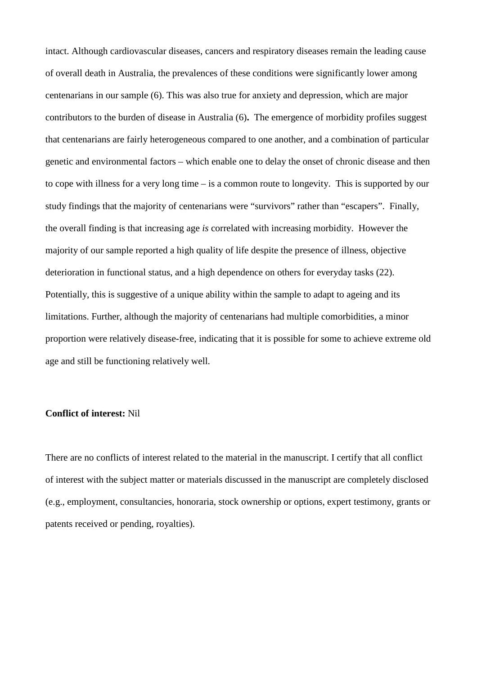intact. Although cardiovascular diseases, cancers and respiratory diseases remain the leading cause of overall death in Australia, the prevalences of these conditions were significantly lower among centenarians in our sample (6). This was also true for anxiety and depression, which are major contributors to the burden of disease in Australia (6)**.** The emergence of morbidity profiles suggest that centenarians are fairly heterogeneous compared to one another, and a combination of particular genetic and environmental factors – which enable one to delay the onset of chronic disease and then to cope with illness for a very long time – is a common route to longevity. This is supported by our study findings that the majority of centenarians were "survivors" rather than "escapers". Finally, the overall finding is that increasing age *is* correlated with increasing morbidity. However the majority of our sample reported a high quality of life despite the presence of illness, objective deterioration in functional status, and a high dependence on others for everyday tasks (22). Potentially, this is suggestive of a unique ability within the sample to adapt to ageing and its limitations. Further, although the majority of centenarians had multiple comorbidities, a minor proportion were relatively disease-free, indicating that it is possible for some to achieve extreme old age and still be functioning relatively well.

#### **Conflict of interest:** Nil

There are no conflicts of interest related to the material in the manuscript. I certify that all conflict of interest with the subject matter or materials discussed in the manuscript are completely disclosed (e.g., employment, consultancies, honoraria, stock ownership or options, expert testimony, grants or patents received or pending, royalties).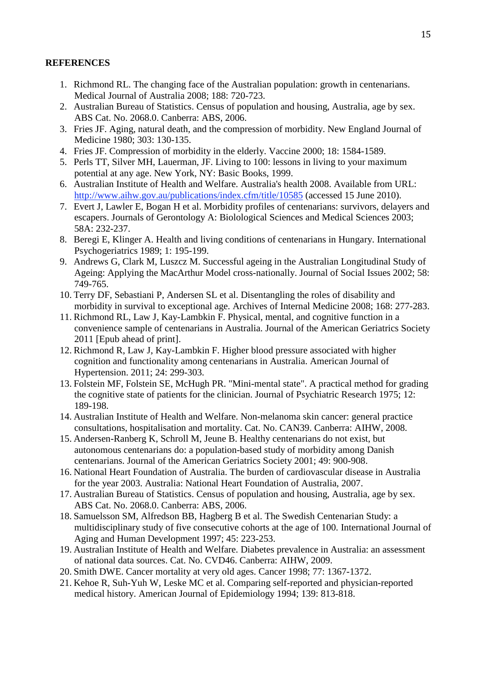## **REFERENCES**

- 1. Richmond RL. The changing face of the Australian population: growth in centenarians. Medical Journal of Australia 2008; 188: 720-723.
- 2. Australian Bureau of Statistics. Census of population and housing, Australia, age by sex. ABS Cat. No. 2068.0. Canberra: ABS, 2006.
- 3. Fries JF. Aging, natural death, and the compression of morbidity. New England Journal of Medicine 1980; 303: 130-135.
- 4. Fries JF. Compression of morbidity in the elderly. Vaccine 2000; 18: 1584-1589.
- 5. Perls TT, Silver MH, Lauerman, JF. Living to 100: lessons in living to your maximum potential at any age. New York, NY: Basic Books, 1999.
- 6. Australian Institute of Health and Welfare. Australia's health 2008. Available from URL: <http://www.aihw.gov.au/publications/index.cfm/title/10585> (accessed 15 June 2010).
- 7. Evert J, Lawler E, Bogan H et al. Morbidity profiles of centenarians: survivors, delayers and escapers. Journals of Gerontology A: Biolological Sciences and Medical Sciences 2003; 58A: 232-237.
- 8. Beregi E, Klinger A. Health and living conditions of centenarians in Hungary. International Psychogeriatrics 1989; 1: 195-199.
- 9. Andrews G, Clark M, Luszcz M. Successful ageing in the Australian Longitudinal Study of Ageing: Applying the MacArthur Model cross-nationally. Journal of Social Issues 2002; 58: 749-765.
- 10. Terry DF, Sebastiani P, Andersen SL et al. Disentangling the roles of disability and morbidity in survival to exceptional age. Archives of Internal Medicine 2008; 168: 277-283.
- 11. Richmond RL, Law J, Kay-Lambkin F. Physical, mental, and cognitive function in a convenience sample of centenarians in Australia. Journal of the American Geriatrics Society 2011 [Epub ahead of print].
- 12. Richmond R, Law J, Kay-Lambkin F. Higher blood pressure associated with higher cognition and functionality among centenarians in Australia. American Journal of Hypertension. 2011; 24: 299-303.
- 13. Folstein MF, Folstein SE, McHugh PR. "Mini-mental state". A practical method for grading the cognitive state of patients for the clinician. Journal of Psychiatric Research 1975; 12: 189-198.
- 14. Australian Institute of Health and Welfare. Non-melanoma skin cancer: general practice consultations, hospitalisation and mortality. Cat. No. CAN39. Canberra: AIHW, 2008.
- 15. Andersen-Ranberg K, Schroll M, Jeune B. Healthy centenarians do not exist, but autonomous centenarians do: a population-based study of morbidity among Danish centenarians. Journal of the American Geriatrics Society 2001; 49: 900-908.
- 16. National Heart Foundation of Australia. The burden of cardiovascular disease in Australia for the year 2003. Australia: National Heart Foundation of Australia, 2007.
- 17. Australian Bureau of Statistics. Census of population and housing, Australia, age by sex. ABS Cat. No. 2068.0. Canberra: ABS, 2006.
- 18. Samuelsson SM, Alfredson BB, Hagberg B et al. The Swedish Centenarian Study: a multidisciplinary study of five consecutive cohorts at the age of 100. International Journal of Aging and Human Development 1997; 45: 223-253.
- 19. Australian Institute of Health and Welfare. Diabetes prevalence in Australia: an assessment of national data sources. Cat. No. CVD46. Canberra: AIHW, 2009.
- 20. Smith DWE. Cancer mortality at very old ages. Cancer 1998; 77: 1367-1372.
- 21. Kehoe R, Suh-Yuh W, Leske MC et al. Comparing self-reported and physician-reported medical history. American Journal of Epidemiology 1994; 139: 813-818.